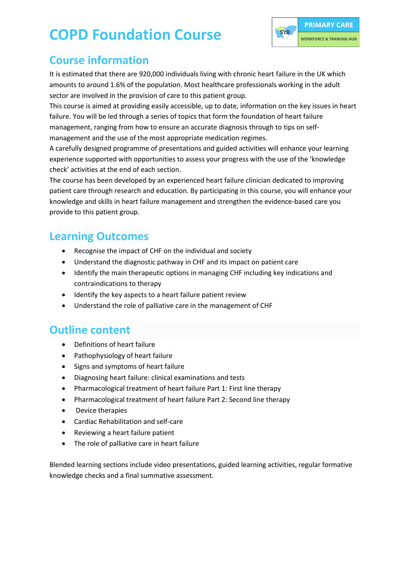# **COPD Foundation Course**



## **Course information**

It is estimated that there are 920,000 individuals living with chronic heart failure in the UK which amounts to around 1.6% of the population. Most healthcare professionals working in the adult sector are involved in the provision of care to this patient group.

This course is aimed at providing easily accessible, up to date, information on the key issues in heart failure. You will be led through a series of topics that form the foundation of heart failure management, ranging from how to ensure an accurate diagnosis through to tips on selfmanagement and the use of the most appropriate medication regimes.

A carefully designed programme of presentations and guided activities will enhance your learning experience supported with opportunities to assess your progress with the use of the 'knowledge check' activities at the end of each section.

The course has been developed by an experienced heart failure clinician dedicated to improving patient care through research and education. By participating in this course, you will enhance your knowledge and skills in heart failure management and strengthen the evidence-based care you provide to this patient group.

### **Learning Outcomes**

- Recognise the impact of CHF on the individual and society
- Understand the diagnostic pathway in CHF and its impact on patient care
- Identify the main therapeutic options in managing CHF including key indications and contraindications to therapy
- Identify the key aspects to a heart failure patient review
- Understand the role of palliative care in the management of CHF

#### **Outline content**

- Definitions of heart failure
- Pathophysiology of heart failure
- Signs and symptoms of heart failure
- Diagnosing heart failure: clinical examinations and tests
- Pharmacological treatment of heart failure Part 1: First line therapy
- Pharmacological treatment of heart failure Part 2: Second line therapy
- Device therapies
- Cardiac Rehabilitation and self-care
- Reviewing a heart failure patient
- The role of palliative care in heart failure

Blended learning sections include video presentations, guided learning activities, regular formative knowledge checks and a final summative assessment.